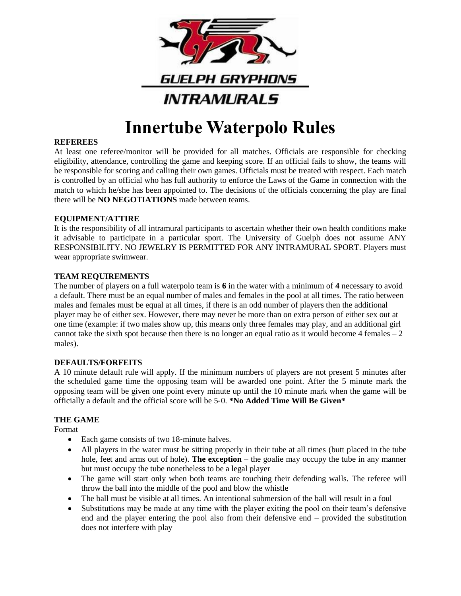

# **Innertube Waterpolo Rules**

## **REFEREES**

At least one referee/monitor will be provided for all matches. Officials are responsible for checking eligibility, attendance, controlling the game and keeping score. If an official fails to show, the teams will be responsible for scoring and calling their own games. Officials must be treated with respect. Each match is controlled by an official who has full authority to enforce the Laws of the Game in connection with the match to which he/she has been appointed to. The decisions of the officials concerning the play are final there will be **NO NEGOTIATIONS** made between teams.

## **EQUIPMENT/ATTIRE**

It is the responsibility of all intramural participants to ascertain whether their own health conditions make it advisable to participate in a particular sport. The University of Guelph does not assume ANY RESPONSIBILITY. NO JEWELRY IS PERMITTED FOR ANY INTRAMURAL SPORT. Players must wear appropriate swimwear.

## **TEAM REQUIREMENTS**

The number of players on a full waterpolo team is **6** in the water with a minimum of **4** necessary to avoid a default. There must be an equal number of males and females in the pool at all times. The ratio between males and females must be equal at all times, if there is an odd number of players then the additional player may be of either sex. However, there may never be more than on extra person of either sex out at one time (example: if two males show up, this means only three females may play, and an additional girl cannot take the sixth spot because then there is no longer an equal ratio as it would become 4 females  $-2$ males).

#### **DEFAULTS/FORFEITS**

A 10 minute default rule will apply. If the minimum numbers of players are not present 5 minutes after the scheduled game time the opposing team will be awarded one point. After the 5 minute mark the opposing team will be given one point every minute up until the 10 minute mark when the game will be officially a default and the official score will be 5‐0. **\*No Added Time Will Be Given\***

## **THE GAME**

Format

- Each game consists of two 18-minute halves.
- All players in the water must be sitting properly in their tube at all times (butt placed in the tube hole, feet and arms out of hole). **The exception** – the goalie may occupy the tube in any manner but must occupy the tube nonetheless to be a legal player
- The game will start only when both teams are touching their defending walls. The referee will throw the ball into the middle of the pool and blow the whistle
- The ball must be visible at all times. An intentional submersion of the ball will result in a foul
- Substitutions may be made at any time with the player exiting the pool on their team's defensive end and the player entering the pool also from their defensive end – provided the substitution does not interfere with play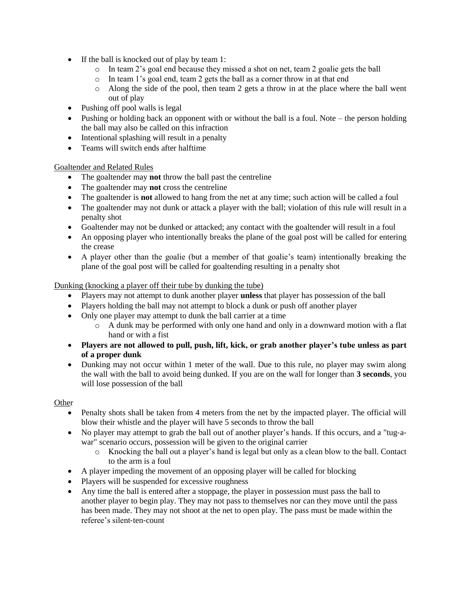- If the ball is knocked out of play by team 1:
	- $\circ$  In team 2's goal end because they missed a shot on net, team 2 goalie gets the ball
	- o In team 1's goal end, team 2 gets the ball as a corner throw in at that end
	- $\circ$  Along the side of the pool, then team 2 gets a throw in at the place where the ball went out of play
- Pushing off pool walls is legal
- Pushing or holding back an opponent with or without the ball is a foul. Note the person holding the ball may also be called on this infraction
- Intentional splashing will result in a penalty
- Teams will switch ends after halftime

## Goaltender and Related Rules

- The goaltender may **not** throw the ball past the centreline
- The goaltender may **not** cross the centreline
- The goaltender is **not** allowed to hang from the net at any time; such action will be called a foul
- The goaltender may not dunk or attack a player with the ball; violation of this rule will result in a penalty shot
- Goaltender may not be dunked or attacked; any contact with the goaltender will result in a foul
- An opposing player who intentionally breaks the plane of the goal post will be called for entering the crease
- A player other than the goalie (but a member of that goalie's team) intentionally breaking the plane of the goal post will be called for goaltending resulting in a penalty shot

## Dunking (knocking a player off their tube by dunking the tube)

- Players may not attempt to dunk another player **unless** that player has possession of the ball
- Players holding the ball may not attempt to block a dunk or push off another player
- Only one player may attempt to dunk the ball carrier at a time
	- $\circ$  A dunk may be performed with only one hand and only in a downward motion with a flat hand or with a fist
- **Players are not allowed to pull, push, lift, kick, or grab another player's tube unless as part of a proper dunk**
- Dunking may not occur within 1 meter of the wall. Due to this rule, no player may swim along the wall with the ball to avoid being dunked. If you are on the wall for longer than **3 seconds**, you will lose possession of the ball

#### **Other**

- Penalty shots shall be taken from 4 meters from the net by the impacted player. The official will blow their whistle and the player will have 5 seconds to throw the ball
- No player may attempt to grab the ball out of another player's hands. If this occurs, and a "tug-awar" scenario occurs, possession will be given to the original carrier
	- o Knocking the ball out a player's hand is legal but only as a clean blow to the ball. Contact to the arm is a foul
- A player impeding the movement of an opposing player will be called for blocking
- Players will be suspended for excessive roughness
- Any time the ball is entered after a stoppage, the player in possession must pass the ball to another player to begin play. They may not pass to themselves nor can they move until the pass has been made. They may not shoot at the net to open play. The pass must be made within the referee's silent‐ten‐count